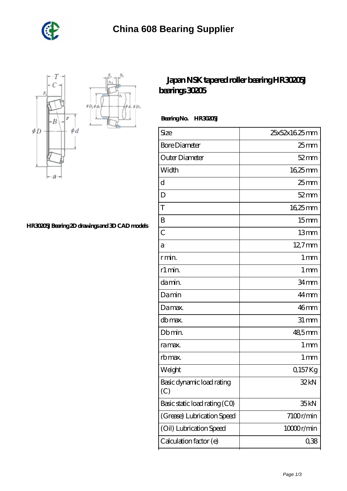

 $\oint D_h$ φà,



## **[HR30205J Bearing 2D drawings and 3D CAD models](https://shantirecords.com/pic-802423.html)**

## **[Japan NSK tapered roller bearing HR30205J](https://shantirecords.com/nsk-hr30205j-bearing/) [bearings 30205](https://shantirecords.com/nsk-hr30205j-bearing/)**

 **Bearing No. HR30205J**

| Size                             | 25x52x1625mm      |
|----------------------------------|-------------------|
| <b>Bore Diameter</b>             | 25 mm             |
| Outer Diameter                   | $52$ mm           |
| Width                            | $1625$ mm         |
| d                                | $25 \text{mm}$    |
| D                                | $52$ mm           |
| T                                | 1625mm            |
| B                                | 15 <sub>mm</sub>  |
| $\overline{C}$                   | 13mm              |
| а                                | $12.7$ mm         |
| r min.                           | 1 <sub>mm</sub>   |
| r1 min.                          | $1 \,\mathrm{mm}$ |
| da min.                          | 34mm              |
| Damin                            | 44mm              |
| Damax.                           | 46mm              |
| db max.                          | $31 \, \text{mm}$ |
| Db min.                          | 48,5mm            |
| ra max.                          | $1 \,\mathrm{mm}$ |
| rb max.                          | $1 \,\mathrm{mm}$ |
| Weight                           | 0,157Kg           |
| Basic dynamic load rating<br>(C) | 32kN              |
| Basic static load rating (CO)    | 35 <sub>kN</sub>  |
| (Grease) Lubrication Speed       | 7100r/min         |
| (Oil) Lubrication Speed          | 10000r/min        |
| Calculation factor (e)           | 0,38              |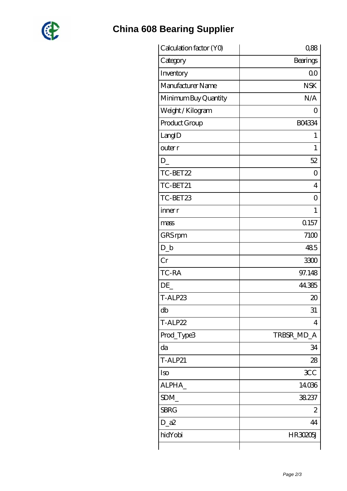

## **[China 608 Bearing Supplier](https://shantirecords.com)**

| Calculation factor (YO) | 0,88            |
|-------------------------|-----------------|
| Category                | <b>Bearings</b> |
| Inventory               | 0 <sub>0</sub>  |
| Manufacturer Name       | <b>NSK</b>      |
| Minimum Buy Quantity    | N/A             |
| Weight / Kilogram       | ( )             |
| Product Group           | <b>BO4334</b>   |
| LangID                  | 1               |
| outer r                 | $\mathbf{1}$    |
| D                       | 52              |
| TC-BET22                | Ο               |
| TC-BET21                | 4               |
| TC-BET23                | 0               |
| inner r                 | $\mathbf{1}$    |
| mass                    | Q157            |
| GRS rpm                 | 7100            |
| $D_{-}b$                | 485             |
| Cr                      | 3300            |
| TC-RA                   | 97.148          |
| DE                      | 44.385          |
| T-ALP23                 | $\infty$        |
| db                      | 31              |
| T-ALP22                 | $\overline{4}$  |
| Prod_Type3              | TRBSR_MD_A      |
| da                      | 34              |
| <b>T-ALP21</b>          | 28              |
| Iso                     | <b>3CC</b>      |
| ALPHA_                  | 14036           |
| SDM_                    | 38.237          |
| <b>SBRG</b>             | 2               |
| $D_2a2$                 | 44              |
| hidYobi                 | HR30205J        |
|                         |                 |